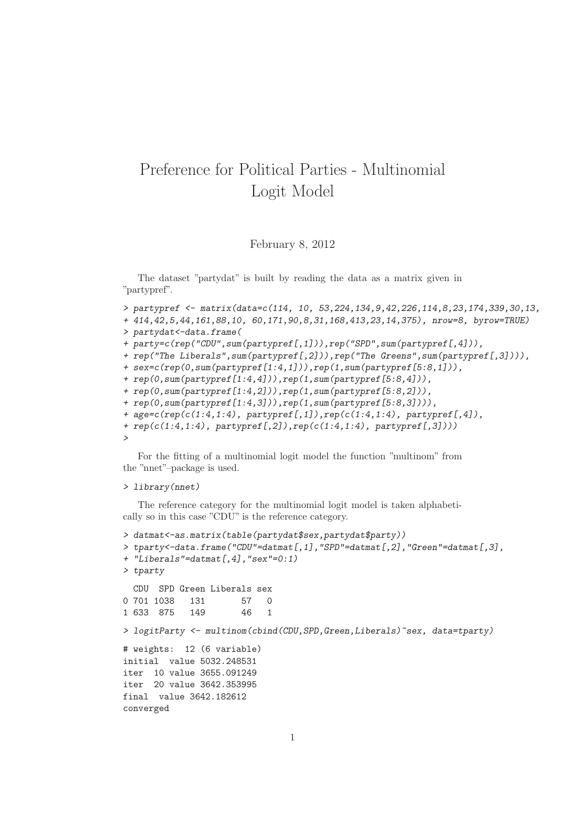## Preference for Political Parties - Multinomial Logit Model

## February 8, 2012

The dataset "partydat" is built by reading the data as a matrix given in "partypref".

```
> partypref <- matrix(data=c(114, 10, 53,224,134,9,42,226,114,8,23,174,339,30,13,
```

```
+ 414,42,5,44,161,88,10, 60,171,90,8,31,168,413,23,14,375), nrow=8, byrow=TRUE)
```

```
> partydat<-data.frame(
```

```
+ party=c(rep("CDU",sum(partypref[,1])),rep("SPD",sum(partypref[,4])),
```

```
+ rep("The Liberals",sum(partypref[,2])),rep("The Greens",sum(partypref[,3]))),
```

```
+ sex=c(rep(0,sum(partypref[1:4,1])),rep(1,sum(partypref[5:8,1])),
```

```
+ rep(0,sum(partypref[1:4,4])),rep(1,sum(partypref[5:8,4])),
```

```
+ rep(0,sum(partypref[1:4,2])),rep(1,sum(partypref[5:8,2])),
```

```
+ rep(0,sum(partypref[1:4,3])),rep(1,sum(partypref[5:8,3]))),
```

```
+ age=c(rep(c(1:4,1:4), partypref[,1]),rep(c(1:4,1:4), partypref[,4]),
```
*+ rep(c(1:4,1:4), partypref[,2]),rep(c(1:4,1:4), partypref[,3]))) >*

For the fitting of a multinomial logit model the function "multinom" from the "nnet"–package is used.

## *> library(nnet)*

The reference category for the multinomial logit model is taken alphabetically so in this case "CDU" is the reference category.

```
> datmat<-as.matrix(table(partydat$sex,partydat$party))
> tparty<-data.frame("CDU"=datmat[,1],"SPD"=datmat[,2],"Green"=datmat[,3],
+ "Liberals"=datmat[,4],"sex"=0:1)
> tparty
 CDU SPD Green Liberals sex
0 701 1038 131 57 0
1 633 875 149 46 1
> logitParty <- multinom(cbind(CDU,SPD,Green,Liberals)~sex, data=tparty)
# weights: 12 (6 variable)
initial value 5032.248531
iter 10 value 3655.091249
iter 20 value 3642.353995
final value 3642.182612
converged
```